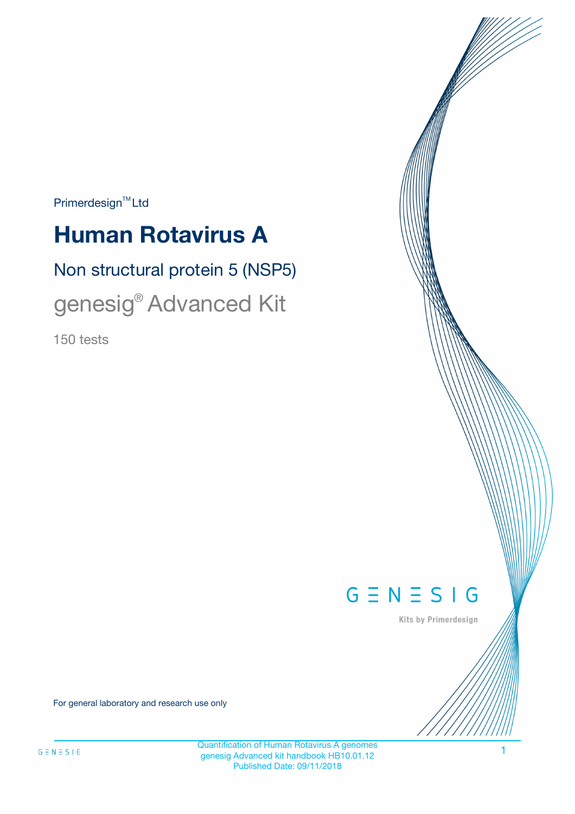$Primerdesign^{\text{TM}}Ltd$ 

# **Human Rotavirus A**

# Non structural protein 5 (NSP5)

genesig® Advanced Kit

150 tests



Kits by Primerdesign

For general laboratory and research use only

Quantification of Human Rotavirus A genomes genesig Advanced kit handbook HB10.01.12 Published Date: 09/11/2018

1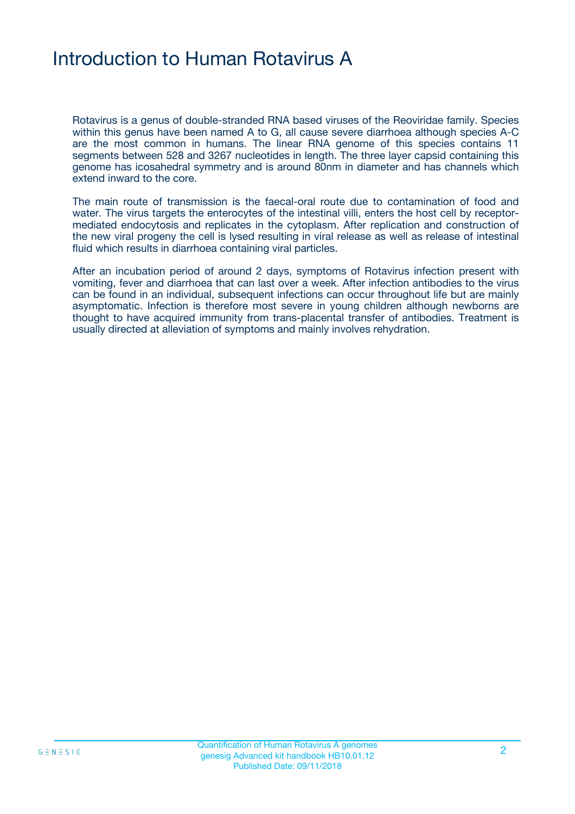# Introduction to Human Rotavirus A

Rotavirus is a genus of double-stranded RNA based viruses of the Reoviridae family. Species within this genus have been named A to G, all cause severe diarrhoea although species A-C are the most common in humans. The linear RNA genome of this species contains 11 segments between 528 and 3267 nucleotides in length. The three layer capsid containing this genome has icosahedral symmetry and is around 80nm in diameter and has channels which extend inward to the core.

The main route of transmission is the faecal-oral route due to contamination of food and water. The virus targets the enterocytes of the intestinal villi, enters the host cell by receptormediated endocytosis and replicates in the cytoplasm. After replication and construction of the new viral progeny the cell is lysed resulting in viral release as well as release of intestinal fluid which results in diarrhoea containing viral particles.

After an incubation period of around 2 days, symptoms of Rotavirus infection present with vomiting, fever and diarrhoea that can last over a week. After infection antibodies to the virus can be found in an individual, subsequent infections can occur throughout life but are mainly asymptomatic. Infection is therefore most severe in young children although newborns are thought to have acquired immunity from trans-placental transfer of antibodies. Treatment is usually directed at alleviation of symptoms and mainly involves rehydration.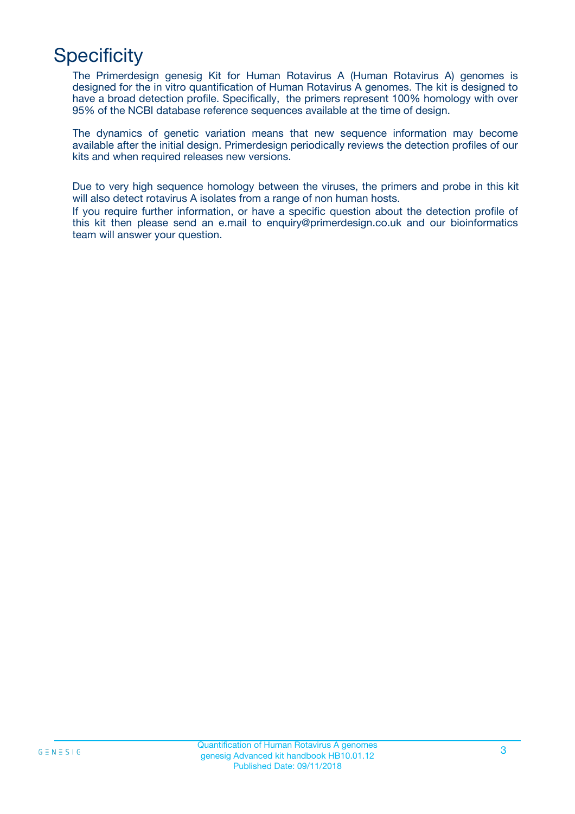# **Specificity**

The Primerdesign genesig Kit for Human Rotavirus A (Human Rotavirus A) genomes is designed for the in vitro quantification of Human Rotavirus A genomes. The kit is designed to have a broad detection profile. Specifically, the primers represent 100% homology with over 95% of the NCBI database reference sequences available at the time of design.

The dynamics of genetic variation means that new sequence information may become available after the initial design. Primerdesign periodically reviews the detection profiles of our kits and when required releases new versions.

Due to very high sequence homology between the viruses, the primers and probe in this kit will also detect rotavirus A isolates from a range of non human hosts.

If you require further information, or have a specific question about the detection profile of this kit then please send an e.mail to enquiry@primerdesign.co.uk and our bioinformatics team will answer your question.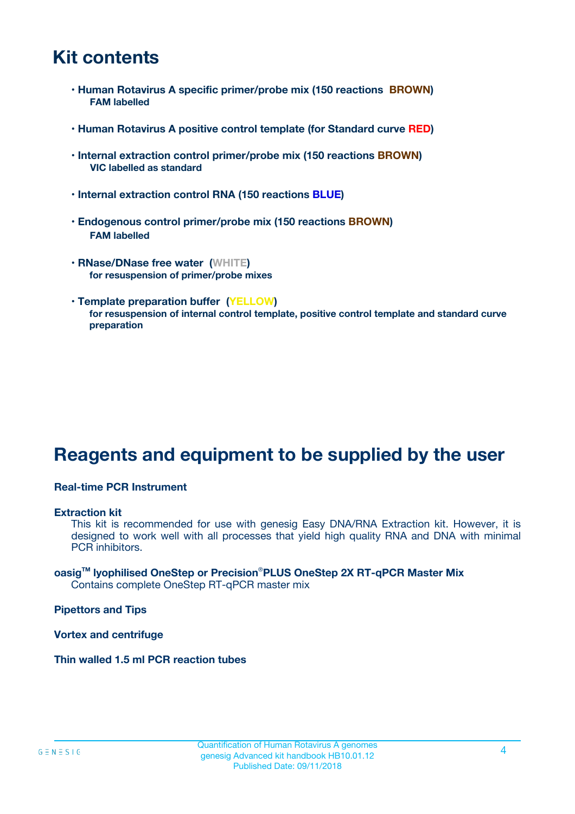# **Kit contents**

- **Human Rotavirus A specific primer/probe mix (150 reactions BROWN) FAM labelled**
- **Human Rotavirus A positive control template (for Standard curve RED)**
- **Internal extraction control primer/probe mix (150 reactions BROWN) VIC labelled as standard**
- **Internal extraction control RNA (150 reactions BLUE)**
- **Endogenous control primer/probe mix (150 reactions BROWN) FAM labelled**
- **RNase/DNase free water (WHITE) for resuspension of primer/probe mixes**
- **Template preparation buffer (YELLOW) for resuspension of internal control template, positive control template and standard curve preparation**

# **Reagents and equipment to be supplied by the user**

#### **Real-time PCR Instrument**

#### **Extraction kit**

This kit is recommended for use with genesig Easy DNA/RNA Extraction kit. However, it is designed to work well with all processes that yield high quality RNA and DNA with minimal PCR inhibitors.

#### **oasigTM lyophilised OneStep or Precision**®**PLUS OneStep 2X RT-qPCR Master Mix** Contains complete OneStep RT-qPCR master mix

**Pipettors and Tips**

**Vortex and centrifuge**

**Thin walled 1.5 ml PCR reaction tubes**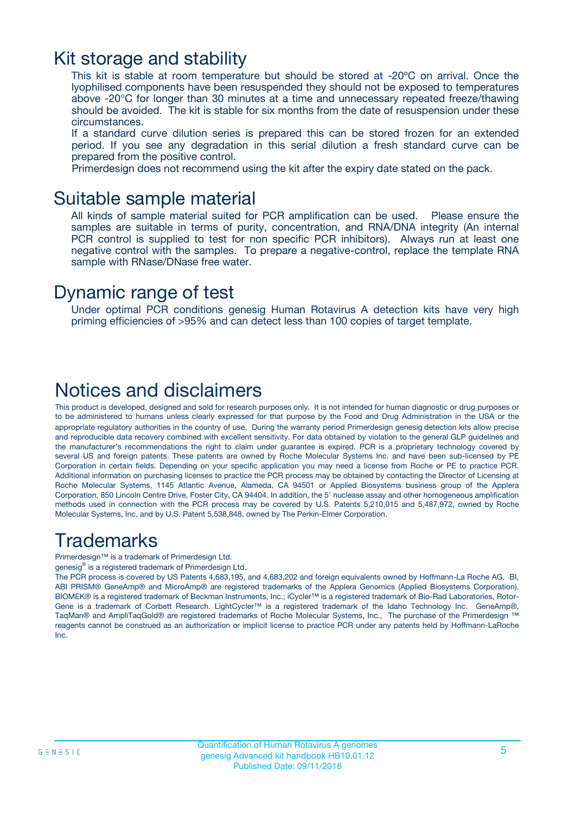### Kit storage and stability

This kit is stable at room temperature but should be stored at -20ºC on arrival. Once the lyophilised components have been resuspended they should not be exposed to temperatures above -20°C for longer than 30 minutes at a time and unnecessary repeated freeze/thawing should be avoided. The kit is stable for six months from the date of resuspension under these circumstances.

If a standard curve dilution series is prepared this can be stored frozen for an extended period. If you see any degradation in this serial dilution a fresh standard curve can be prepared from the positive control.

Primerdesign does not recommend using the kit after the expiry date stated on the pack.

### Suitable sample material

All kinds of sample material suited for PCR amplification can be used. Please ensure the samples are suitable in terms of purity, concentration, and RNA/DNA integrity (An internal PCR control is supplied to test for non specific PCR inhibitors). Always run at least one negative control with the samples. To prepare a negative-control, replace the template RNA sample with RNase/DNase free water.

### Dynamic range of test

Under optimal PCR conditions genesig Human Rotavirus A detection kits have very high priming efficiencies of >95% and can detect less than 100 copies of target template.

### Notices and disclaimers

This product is developed, designed and sold for research purposes only. It is not intended for human diagnostic or drug purposes or to be administered to humans unless clearly expressed for that purpose by the Food and Drug Administration in the USA or the appropriate regulatory authorities in the country of use. During the warranty period Primerdesign genesig detection kits allow precise and reproducible data recovery combined with excellent sensitivity. For data obtained by violation to the general GLP guidelines and the manufacturer's recommendations the right to claim under guarantee is expired. PCR is a proprietary technology covered by several US and foreign patents. These patents are owned by Roche Molecular Systems Inc. and have been sub-licensed by PE Corporation in certain fields. Depending on your specific application you may need a license from Roche or PE to practice PCR. Additional information on purchasing licenses to practice the PCR process may be obtained by contacting the Director of Licensing at Roche Molecular Systems, 1145 Atlantic Avenue, Alameda, CA 94501 or Applied Biosystems business group of the Applera Corporation, 850 Lincoln Centre Drive, Foster City, CA 94404. In addition, the 5' nuclease assay and other homogeneous amplification methods used in connection with the PCR process may be covered by U.S. Patents 5,210,015 and 5,487,972, owned by Roche Molecular Systems, Inc, and by U.S. Patent 5,538,848, owned by The Perkin-Elmer Corporation.

# Trademarks

Primerdesign™ is a trademark of Primerdesign Ltd.

genesig® is a registered trademark of Primerdesign Ltd.

The PCR process is covered by US Patents 4,683,195, and 4,683,202 and foreign equivalents owned by Hoffmann-La Roche AG. BI, ABI PRISM® GeneAmp® and MicroAmp® are registered trademarks of the Applera Genomics (Applied Biosystems Corporation). BIOMEK® is a registered trademark of Beckman Instruments, Inc.; iCycler™ is a registered trademark of Bio-Rad Laboratories, Rotor-Gene is a trademark of Corbett Research. LightCycler™ is a registered trademark of the Idaho Technology Inc. GeneAmp®, TaqMan® and AmpliTaqGold® are registered trademarks of Roche Molecular Systems, Inc., The purchase of the Primerdesign ™ reagents cannot be construed as an authorization or implicit license to practice PCR under any patents held by Hoffmann-LaRoche Inc.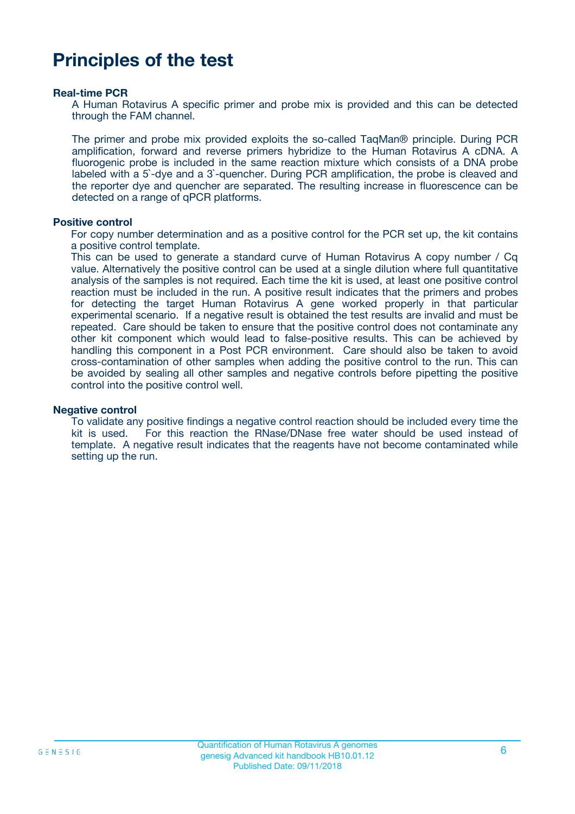# **Principles of the test**

#### **Real-time PCR**

A Human Rotavirus A specific primer and probe mix is provided and this can be detected through the FAM channel.

The primer and probe mix provided exploits the so-called TaqMan® principle. During PCR amplification, forward and reverse primers hybridize to the Human Rotavirus A cDNA. A fluorogenic probe is included in the same reaction mixture which consists of a DNA probe labeled with a 5`-dye and a 3`-quencher. During PCR amplification, the probe is cleaved and the reporter dye and quencher are separated. The resulting increase in fluorescence can be detected on a range of qPCR platforms.

#### **Positive control**

For copy number determination and as a positive control for the PCR set up, the kit contains a positive control template.

This can be used to generate a standard curve of Human Rotavirus A copy number / Cq value. Alternatively the positive control can be used at a single dilution where full quantitative analysis of the samples is not required. Each time the kit is used, at least one positive control reaction must be included in the run. A positive result indicates that the primers and probes for detecting the target Human Rotavirus A gene worked properly in that particular experimental scenario. If a negative result is obtained the test results are invalid and must be repeated. Care should be taken to ensure that the positive control does not contaminate any other kit component which would lead to false-positive results. This can be achieved by handling this component in a Post PCR environment. Care should also be taken to avoid cross-contamination of other samples when adding the positive control to the run. This can be avoided by sealing all other samples and negative controls before pipetting the positive control into the positive control well.

#### **Negative control**

To validate any positive findings a negative control reaction should be included every time the kit is used. For this reaction the RNase/DNase free water should be used instead of template. A negative result indicates that the reagents have not become contaminated while setting up the run.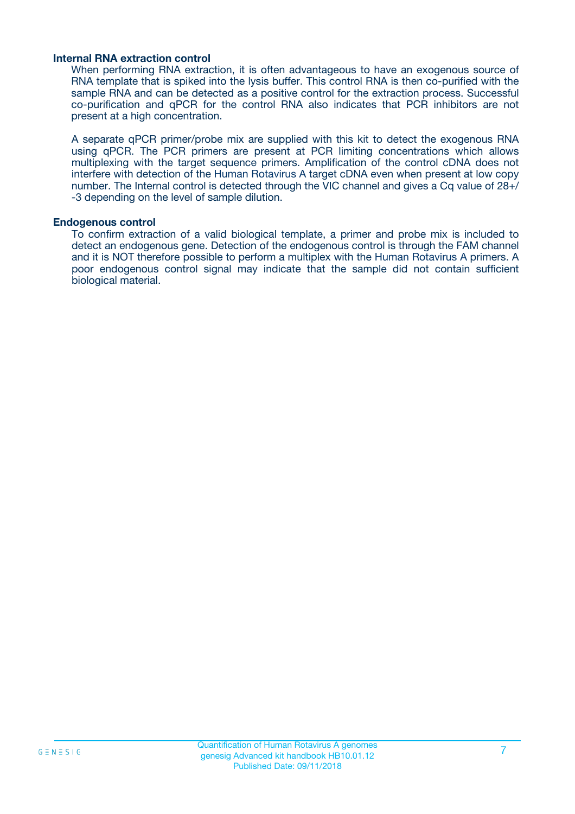#### **Internal RNA extraction control**

When performing RNA extraction, it is often advantageous to have an exogenous source of RNA template that is spiked into the lysis buffer. This control RNA is then co-purified with the sample RNA and can be detected as a positive control for the extraction process. Successful co-purification and qPCR for the control RNA also indicates that PCR inhibitors are not present at a high concentration.

A separate qPCR primer/probe mix are supplied with this kit to detect the exogenous RNA using qPCR. The PCR primers are present at PCR limiting concentrations which allows multiplexing with the target sequence primers. Amplification of the control cDNA does not interfere with detection of the Human Rotavirus A target cDNA even when present at low copy number. The Internal control is detected through the VIC channel and gives a Cq value of 28+/ -3 depending on the level of sample dilution.

#### **Endogenous control**

To confirm extraction of a valid biological template, a primer and probe mix is included to detect an endogenous gene. Detection of the endogenous control is through the FAM channel and it is NOT therefore possible to perform a multiplex with the Human Rotavirus A primers. A poor endogenous control signal may indicate that the sample did not contain sufficient biological material.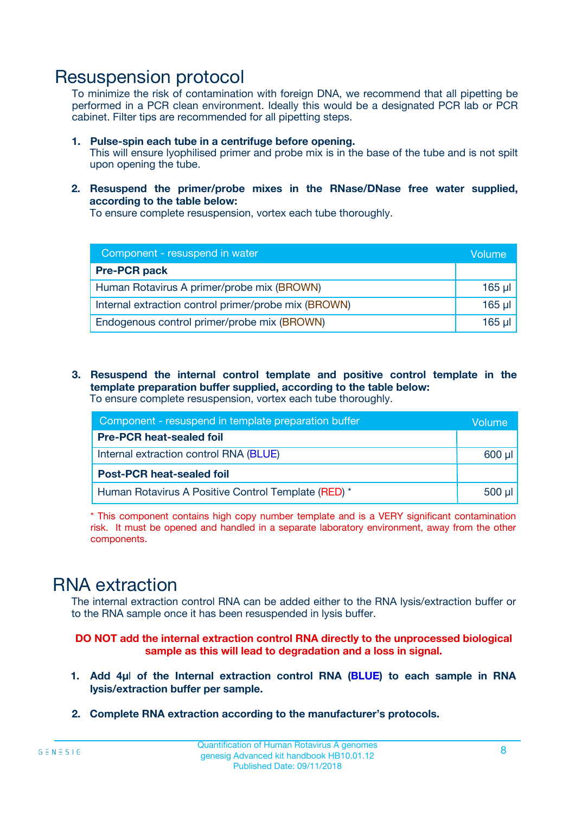### Resuspension protocol

To minimize the risk of contamination with foreign DNA, we recommend that all pipetting be performed in a PCR clean environment. Ideally this would be a designated PCR lab or PCR cabinet. Filter tips are recommended for all pipetting steps.

- **1. Pulse-spin each tube in a centrifuge before opening.** This will ensure lyophilised primer and probe mix is in the base of the tube and is not spilt upon opening the tube.
- **2. Resuspend the primer/probe mixes in the RNase/DNase free water supplied, according to the table below:**

To ensure complete resuspension, vortex each tube thoroughly.

| Component - resuspend in water                       |          |  |
|------------------------------------------------------|----------|--|
| <b>Pre-PCR pack</b>                                  |          |  |
| Human Rotavirus A primer/probe mix (BROWN)           | $165$ µl |  |
| Internal extraction control primer/probe mix (BROWN) | $165$ µl |  |
| Endogenous control primer/probe mix (BROWN)          | 165 µl   |  |

**3. Resuspend the internal control template and positive control template in the template preparation buffer supplied, according to the table below:** To ensure complete resuspension, vortex each tube thoroughly.

| Component - resuspend in template preparation buffer |  |  |  |
|------------------------------------------------------|--|--|--|
| <b>Pre-PCR heat-sealed foil</b>                      |  |  |  |
| Internal extraction control RNA (BLUE)               |  |  |  |
| <b>Post-PCR heat-sealed foil</b>                     |  |  |  |
| Human Rotavirus A Positive Control Template (RED) *  |  |  |  |

\* This component contains high copy number template and is a VERY significant contamination risk. It must be opened and handled in a separate laboratory environment, away from the other components.

# RNA extraction

The internal extraction control RNA can be added either to the RNA lysis/extraction buffer or to the RNA sample once it has been resuspended in lysis buffer.

#### **DO NOT add the internal extraction control RNA directly to the unprocessed biological sample as this will lead to degradation and a loss in signal.**

- **1. Add 4µ**l **of the Internal extraction control RNA (BLUE) to each sample in RNA lysis/extraction buffer per sample.**
- **2. Complete RNA extraction according to the manufacturer's protocols.**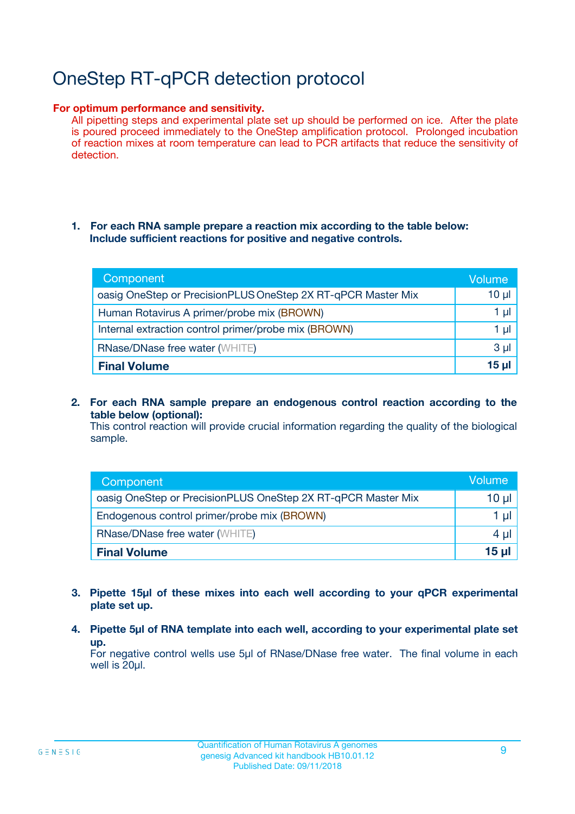# OneStep RT-qPCR detection protocol

#### **For optimum performance and sensitivity.**

All pipetting steps and experimental plate set up should be performed on ice. After the plate is poured proceed immediately to the OneStep amplification protocol. Prolonged incubation of reaction mixes at room temperature can lead to PCR artifacts that reduce the sensitivity of detection.

#### **1. For each RNA sample prepare a reaction mix according to the table below: Include sufficient reactions for positive and negative controls.**

| Component                                                    | Volumer  |
|--------------------------------------------------------------|----------|
| oasig OneStep or PrecisionPLUS OneStep 2X RT-qPCR Master Mix | $10 \mu$ |
| Human Rotavirus A primer/probe mix (BROWN)                   | 1 µl     |
| Internal extraction control primer/probe mix (BROWN)         | 1 µI     |
| <b>RNase/DNase free water (WHITE)</b>                        | $3 \mu$  |
| <b>Final Volume</b>                                          | 15 ul    |

**2. For each RNA sample prepare an endogenous control reaction according to the table below (optional):**

This control reaction will provide crucial information regarding the quality of the biological sample.

| Component                                                    | Volume   |
|--------------------------------------------------------------|----------|
| oasig OneStep or PrecisionPLUS OneStep 2X RT-qPCR Master Mix | 10 $\mu$ |
| Endogenous control primer/probe mix (BROWN)                  | 1 ul     |
| <b>RNase/DNase free water (WHITE)</b>                        | $4 \mu$  |
| <b>Final Volume</b>                                          | 15 µl    |

- **3. Pipette 15µl of these mixes into each well according to your qPCR experimental plate set up.**
- **4. Pipette 5µl of RNA template into each well, according to your experimental plate set up.**

For negative control wells use 5µl of RNase/DNase free water. The final volume in each well is 20µl.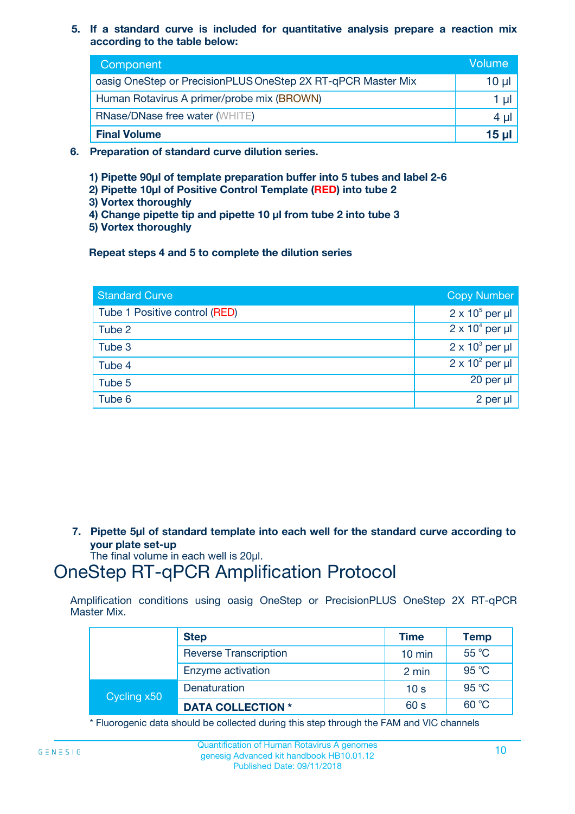**5. If a standard curve is included for quantitative analysis prepare a reaction mix according to the table below:**

| Component                                                    | Volume |  |
|--------------------------------------------------------------|--------|--|
| oasig OneStep or PrecisionPLUS OneStep 2X RT-qPCR Master Mix | 10 µl  |  |
| Human Rotavirus A primer/probe mix (BROWN)                   |        |  |
| <b>RNase/DNase free water (WHITE)</b>                        | 4 µl   |  |
| <b>Final Volume</b>                                          | 15 ul  |  |

- **6. Preparation of standard curve dilution series.**
	- **1) Pipette 90µl of template preparation buffer into 5 tubes and label 2-6**
	- **2) Pipette 10µl of Positive Control Template (RED) into tube 2**
	- **3) Vortex thoroughly**
	- **4) Change pipette tip and pipette 10 µl from tube 2 into tube 3**
	- **5) Vortex thoroughly**

**Repeat steps 4 and 5 to complete the dilution series**

| <b>Standard Curve</b>         | <b>Copy Number</b>     |
|-------------------------------|------------------------|
| Tube 1 Positive control (RED) | $2 \times 10^5$ per µl |
| Tube 2                        | $2 \times 10^4$ per µl |
| Tube 3                        | $2 \times 10^3$ per µl |
| Tube 4                        | $2 \times 10^2$ per µl |
| Tube 5                        | 20 per µl              |
| Tube 6                        | 2 per µl               |

**7. Pipette 5µl of standard template into each well for the standard curve according to your plate set-up**

The final volume in each well is 20µl.

# OneStep RT-qPCR Amplification Protocol

Amplification conditions using oasig OneStep or PrecisionPLUS OneStep 2X RT-qPCR Master Mix.

|             | <b>Step</b>                  | <b>Time</b>      | Temp  |
|-------------|------------------------------|------------------|-------|
|             | <b>Reverse Transcription</b> | $10 \text{ min}$ | 55 °C |
|             | Enzyme activation            | 2 min            | 95 °C |
| Cycling x50 | Denaturation                 | 10 <sub>s</sub>  | 95 °C |
|             | <b>DATA COLLECTION *</b>     | 60 s             | 60 °C |

\* Fluorogenic data should be collected during this step through the FAM and VIC channels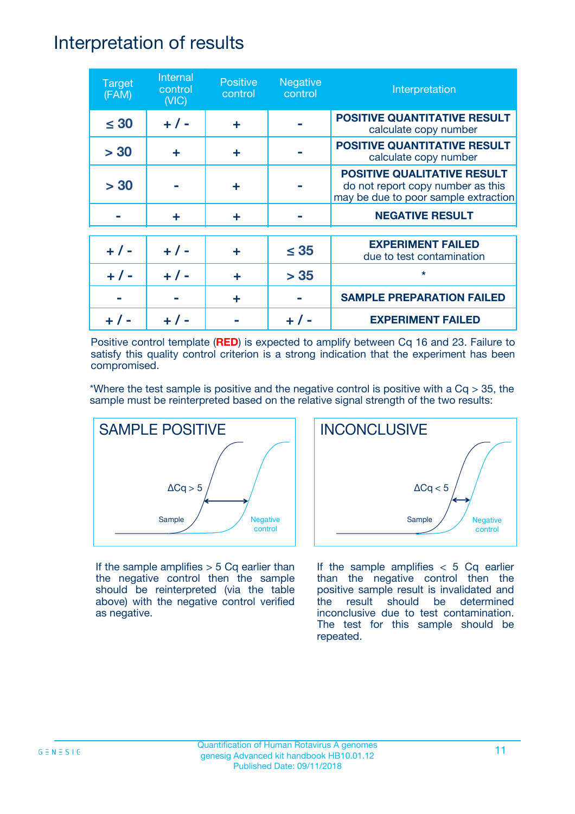### Interpretation of results

| <b>Target</b><br>(FAM) | Internal<br>control<br>(NIC) | <b>Positive</b><br>control | <b>Negative</b><br>control | Interpretation                                                                                                  |
|------------------------|------------------------------|----------------------------|----------------------------|-----------------------------------------------------------------------------------------------------------------|
| $\leq 30$              | $+ 1 -$                      | ÷                          |                            | <b>POSITIVE QUANTITATIVE RESULT</b><br>calculate copy number                                                    |
| > 30                   | ÷                            | ÷                          |                            | <b>POSITIVE QUANTITATIVE RESULT</b><br>calculate copy number                                                    |
| > 30                   |                              | ÷                          |                            | <b>POSITIVE QUALITATIVE RESULT</b><br>do not report copy number as this<br>may be due to poor sample extraction |
|                        | ÷                            | ÷                          |                            | <b>NEGATIVE RESULT</b>                                                                                          |
| $+ 1 -$                | $+ 1 -$                      | ÷                          | $\leq$ 35                  | <b>EXPERIMENT FAILED</b><br>due to test contamination                                                           |
|                        | $+$ / -                      |                            | > 35                       | $\star$                                                                                                         |
|                        |                              | ÷                          |                            | <b>SAMPLE PREPARATION FAILED</b>                                                                                |
|                        |                              |                            |                            | <b>EXPERIMENT FAILED</b>                                                                                        |

Positive control template (**RED**) is expected to amplify between Cq 16 and 23. Failure to satisfy this quality control criterion is a strong indication that the experiment has been compromised.

\*Where the test sample is positive and the negative control is positive with a  $Cq > 35$ , the sample must be reinterpreted based on the relative signal strength of the two results:



If the sample amplifies  $> 5$  Cq earlier than the negative control then the sample should be reinterpreted (via the table above) with the negative control verified as negative.



If the sample amplifies  $< 5$  Cq earlier than the negative control then the positive sample result is invalidated and the result should be determined inconclusive due to test contamination. The test for this sample should be repeated.